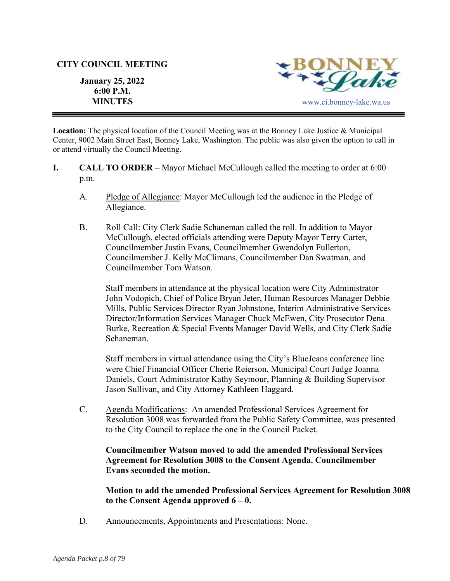### **CITY COUNCIL MEETING**

**January 25, 2022 6:00 P.M.** 



**Location:** The physical location of the Council Meeting was at the Bonney Lake Justice & Municipal Center, 9002 Main Street East, Bonney Lake, Washington. The public was also given the option to call in or attend virtually the Council Meeting.

- **I. CALL TO ORDER**  Mayor Michael McCullough called the meeting to order at 6:00 p.m.
	- A. Pledge of Allegiance: Mayor McCullough led the audience in the Pledge of Allegiance.
	- B. Roll Call: City Clerk Sadie Schaneman called the roll. In addition to Mayor McCullough, elected officials attending were Deputy Mayor Terry Carter, Councilmember Justin Evans, Councilmember Gwendolyn Fullerton, Councilmember J. Kelly McClimans, Councilmember Dan Swatman, and Councilmember Tom Watson.

Staff members in attendance at the physical location were City Administrator John Vodopich, Chief of Police Bryan Jeter, Human Resources Manager Debbie Mills, Public Services Director Ryan Johnstone, Interim Administrative Services Director/Information Services Manager Chuck McEwen, City Prosecutor Dena Burke, Recreation & Special Events Manager David Wells, and City Clerk Sadie Schaneman.

Staff members in virtual attendance using the City's BlueJeans conference line were Chief Financial Officer Cherie Reierson, Municipal Court Judge Joanna Daniels, Court Administrator Kathy Seymour, Planning & Building Supervisor Jason Sullivan, and City Attorney Kathleen Haggard.

C. Agenda Modifications: An amended Professional Services Agreement for Resolution 3008 was forwarded from the Public Safety Committee, was presented to the City Council to replace the one in the Council Packet.

## **Councilmember Watson moved to add the amended Professional Services Agreement for Resolution 3008 to the Consent Agenda. Councilmember Evans seconded the motion.**

**Motion to add the amended Professional Services Agreement for Resolution 3008 to the Consent Agenda approved 6 – 0.** 

D. Announcements, Appointments and Presentations: None.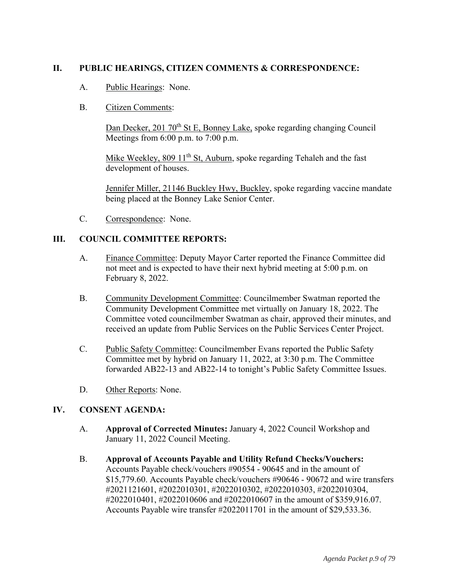# **II. PUBLIC HEARINGS, CITIZEN COMMENTS & CORRESPONDENCE:**

- A. Public Hearings: None.
- B. Citizen Comments:

Dan Decker, 201 70<sup>th</sup> St E, Bonney Lake, spoke regarding changing Council Meetings from 6:00 p.m. to 7:00 p.m.

Mike Weekley,  $80911<sup>th</sup>$  St, Auburn, spoke regarding Tehaleh and the fast development of houses.

Jennifer Miller, 21146 Buckley Hwy, Buckley, spoke regarding vaccine mandate being placed at the Bonney Lake Senior Center.

C. Correspondence: None.

## **III. COUNCIL COMMITTEE REPORTS:**

- A. Finance Committee: Deputy Mayor Carter reported the Finance Committee did not meet and is expected to have their next hybrid meeting at 5:00 p.m. on February 8, 2022.
- B. Community Development Committee: Councilmember Swatman reported the Community Development Committee met virtually on January 18, 2022. The Committee voted councilmember Swatman as chair, approved their minutes, and received an update from Public Services on the Public Services Center Project.
- C. Public Safety Committee: Councilmember Evans reported the Public Safety Committee met by hybrid on January 11, 2022, at 3:30 p.m. The Committee forwarded AB22-13 and AB22-14 to tonight's Public Safety Committee Issues.
- D. Other Reports: None.

### **IV. CONSENT AGENDA:**

- A. **Approval of Corrected Minutes:** January 4, 2022 Council Workshop and January 11, 2022 Council Meeting.
- B. **Approval of Accounts Payable and Utility Refund Checks/Vouchers:** Accounts Payable check/vouchers #90554 - 90645 and in the amount of \$15,779.60. Accounts Payable check/vouchers #90646 - 90672 and wire transfers #2021121601, #2022010301, #2022010302, #2022010303, #2022010304, #2022010401, #2022010606 and #2022010607 in the amount of \$359,916.07. Accounts Payable wire transfer #2022011701 in the amount of \$29,533.36.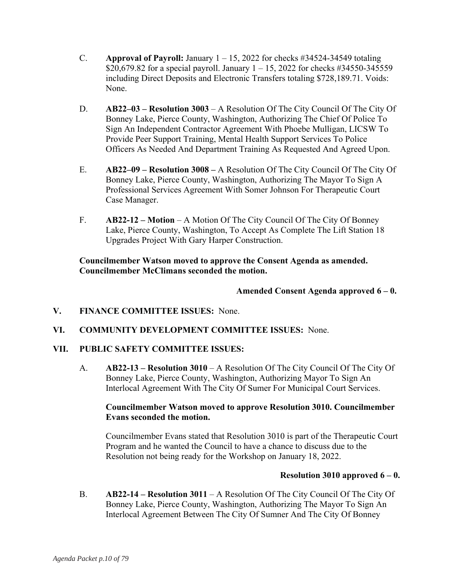- C. **Approval of Payroll:** January  $1 15$ , 2022 for checks  $\#34524-34549$  totaling \$20,679.82 for a special payroll. January  $1 - 15$ , 2022 for checks #34550-345559 including Direct Deposits and Electronic Transfers totaling \$728,189.71. Voids: None.
- D. **AB22–03 Resolution 3003** A Resolution Of The City Council Of The City Of Bonney Lake, Pierce County, Washington, Authorizing The Chief Of Police To Sign An Independent Contractor Agreement With Phoebe Mulligan, LICSW To Provide Peer Support Training, Mental Health Support Services To Police Officers As Needed And Department Training As Requested And Agreed Upon.
- E. **AB22–09 Resolution 3008** A Resolution Of The City Council Of The City Of Bonney Lake, Pierce County, Washington, Authorizing The Mayor To Sign A Professional Services Agreement With Somer Johnson For Therapeutic Court Case Manager.
- F. **AB22-12 Motion** A Motion Of The City Council Of The City Of Bonney Lake, Pierce County, Washington, To Accept As Complete The Lift Station 18 Upgrades Project With Gary Harper Construction.

**Councilmember Watson moved to approve the Consent Agenda as amended. Councilmember McClimans seconded the motion.** 

# **Amended Consent Agenda approved 6 – 0.**

- **V. FINANCE COMMITTEE ISSUES:** None.
- **VI. COMMUNITY DEVELOPMENT COMMITTEE ISSUES:** None.

### **VII. PUBLIC SAFETY COMMITTEE ISSUES:**

A. **AB22-13 – Resolution 3010** – A Resolution Of The City Council Of The City Of Bonney Lake, Pierce County, Washington, Authorizing Mayor To Sign An Interlocal Agreement With The City Of Sumer For Municipal Court Services.

## **Councilmember Watson moved to approve Resolution 3010. Councilmember Evans seconded the motion.**

Councilmember Evans stated that Resolution 3010 is part of the Therapeutic Court Program and he wanted the Council to have a chance to discuss due to the Resolution not being ready for the Workshop on January 18, 2022.

### **Resolution 3010 approved 6 – 0.**

B. **AB22-14 – Resolution 3011** – A Resolution Of The City Council Of The City Of Bonney Lake, Pierce County, Washington, Authorizing The Mayor To Sign An Interlocal Agreement Between The City Of Sumner And The City Of Bonney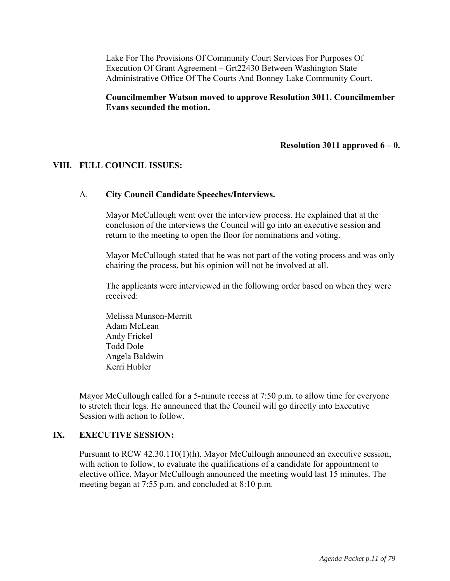Lake For The Provisions Of Community Court Services For Purposes Of Execution Of Grant Agreement – Grt22430 Between Washington State Administrative Office Of The Courts And Bonney Lake Community Court.

**Councilmember Watson moved to approve Resolution 3011. Councilmember Evans seconded the motion.**

### **Resolution 3011 approved 6 – 0.**

### **VIII. FULL COUNCIL ISSUES:**

#### A. **City Council Candidate Speeches/Interviews.**

Mayor McCullough went over the interview process. He explained that at the conclusion of the interviews the Council will go into an executive session and return to the meeting to open the floor for nominations and voting.

Mayor McCullough stated that he was not part of the voting process and was only chairing the process, but his opinion will not be involved at all.

The applicants were interviewed in the following order based on when they were received:

Melissa Munson-Merritt Adam McLean Andy Frickel Todd Dole Angela Baldwin Kerri Hubler

Mayor McCullough called for a 5-minute recess at 7:50 p.m. to allow time for everyone to stretch their legs. He announced that the Council will go directly into Executive Session with action to follow.

#### **IX. EXECUTIVE SESSION:**

Pursuant to RCW 42.30.110(1)(h). Mayor McCullough announced an executive session, with action to follow, to evaluate the qualifications of a candidate for appointment to elective office. Mayor McCullough announced the meeting would last 15 minutes. The meeting began at 7:55 p.m. and concluded at 8:10 p.m.